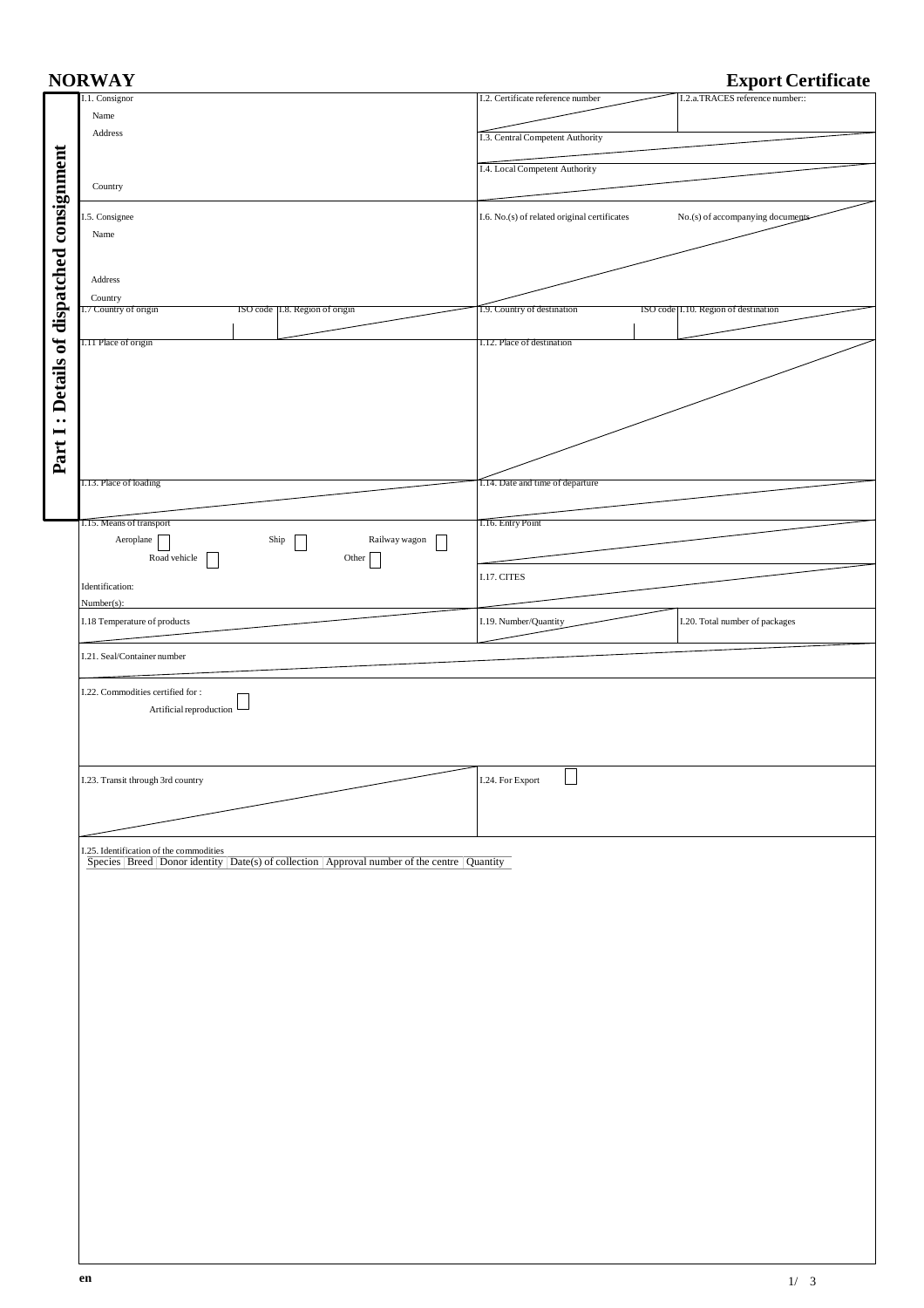| <b>Export Certificate</b><br><b>NORWAY</b> |                                                                                                                                                         |                                                                                  |  |  |  |  |  |  |  |
|--------------------------------------------|---------------------------------------------------------------------------------------------------------------------------------------------------------|----------------------------------------------------------------------------------|--|--|--|--|--|--|--|
|                                            | I.1. Consignor                                                                                                                                          | I.2.a.TRACES reference number::<br>I.2. Certificate reference number             |  |  |  |  |  |  |  |
|                                            | Name                                                                                                                                                    |                                                                                  |  |  |  |  |  |  |  |
|                                            | Address                                                                                                                                                 |                                                                                  |  |  |  |  |  |  |  |
|                                            |                                                                                                                                                         | I.3. Central Competent Authority                                                 |  |  |  |  |  |  |  |
|                                            |                                                                                                                                                         |                                                                                  |  |  |  |  |  |  |  |
| : Details of dispatched consignment        |                                                                                                                                                         | I.4. Local Competent Authority                                                   |  |  |  |  |  |  |  |
|                                            | Country                                                                                                                                                 |                                                                                  |  |  |  |  |  |  |  |
|                                            |                                                                                                                                                         |                                                                                  |  |  |  |  |  |  |  |
|                                            | I.5. Consignee                                                                                                                                          | I.6. No.(s) of related original certificates<br>No.(s) of accompanying documents |  |  |  |  |  |  |  |
|                                            | Name                                                                                                                                                    |                                                                                  |  |  |  |  |  |  |  |
|                                            |                                                                                                                                                         |                                                                                  |  |  |  |  |  |  |  |
|                                            |                                                                                                                                                         |                                                                                  |  |  |  |  |  |  |  |
|                                            | Address                                                                                                                                                 |                                                                                  |  |  |  |  |  |  |  |
|                                            | Country                                                                                                                                                 |                                                                                  |  |  |  |  |  |  |  |
|                                            | ISO code   I.8. Region of origin<br>.7 Country of origin                                                                                                | 1.9. Country of destination<br>ISO code [I.10. Region of destination             |  |  |  |  |  |  |  |
|                                            |                                                                                                                                                         |                                                                                  |  |  |  |  |  |  |  |
|                                            | I.11 Place of origin                                                                                                                                    | I.12. Place of destination                                                       |  |  |  |  |  |  |  |
|                                            |                                                                                                                                                         |                                                                                  |  |  |  |  |  |  |  |
|                                            |                                                                                                                                                         |                                                                                  |  |  |  |  |  |  |  |
|                                            |                                                                                                                                                         |                                                                                  |  |  |  |  |  |  |  |
|                                            |                                                                                                                                                         |                                                                                  |  |  |  |  |  |  |  |
|                                            |                                                                                                                                                         |                                                                                  |  |  |  |  |  |  |  |
|                                            |                                                                                                                                                         |                                                                                  |  |  |  |  |  |  |  |
|                                            |                                                                                                                                                         |                                                                                  |  |  |  |  |  |  |  |
| Part I                                     |                                                                                                                                                         |                                                                                  |  |  |  |  |  |  |  |
|                                            |                                                                                                                                                         |                                                                                  |  |  |  |  |  |  |  |
|                                            | I.13. Place of loading                                                                                                                                  | 1.14. Date and time of departure                                                 |  |  |  |  |  |  |  |
|                                            |                                                                                                                                                         |                                                                                  |  |  |  |  |  |  |  |
|                                            | 1.15. Means of transport                                                                                                                                | 1.16. Entry Point                                                                |  |  |  |  |  |  |  |
|                                            | Railway wagon                                                                                                                                           |                                                                                  |  |  |  |  |  |  |  |
|                                            | Aeroplane<br>Ship<br>$\sim$                                                                                                                             |                                                                                  |  |  |  |  |  |  |  |
|                                            | Road vehicle<br>Other                                                                                                                                   |                                                                                  |  |  |  |  |  |  |  |
|                                            | Identification:                                                                                                                                         | I.17. CITES                                                                      |  |  |  |  |  |  |  |
|                                            |                                                                                                                                                         |                                                                                  |  |  |  |  |  |  |  |
|                                            | $Number(s)$ :                                                                                                                                           |                                                                                  |  |  |  |  |  |  |  |
|                                            | I.18 Temperature of products                                                                                                                            | I.19. Number/Quantity<br>I.20. Total number of packages                          |  |  |  |  |  |  |  |
|                                            |                                                                                                                                                         |                                                                                  |  |  |  |  |  |  |  |
|                                            | I.21. Seal/Container number                                                                                                                             |                                                                                  |  |  |  |  |  |  |  |
|                                            |                                                                                                                                                         |                                                                                  |  |  |  |  |  |  |  |
|                                            | I.22. Commodities certified for :                                                                                                                       |                                                                                  |  |  |  |  |  |  |  |
|                                            | Artificial reproduction L                                                                                                                               |                                                                                  |  |  |  |  |  |  |  |
|                                            |                                                                                                                                                         |                                                                                  |  |  |  |  |  |  |  |
|                                            |                                                                                                                                                         |                                                                                  |  |  |  |  |  |  |  |
|                                            |                                                                                                                                                         |                                                                                  |  |  |  |  |  |  |  |
|                                            |                                                                                                                                                         |                                                                                  |  |  |  |  |  |  |  |
|                                            | I.23. Transit through 3rd country                                                                                                                       | I.24. For Export                                                                 |  |  |  |  |  |  |  |
|                                            |                                                                                                                                                         |                                                                                  |  |  |  |  |  |  |  |
|                                            |                                                                                                                                                         |                                                                                  |  |  |  |  |  |  |  |
|                                            |                                                                                                                                                         |                                                                                  |  |  |  |  |  |  |  |
|                                            |                                                                                                                                                         |                                                                                  |  |  |  |  |  |  |  |
|                                            | I.25. Identification of the commodities<br>$\frac{1}{\text{species}}$ Breed Donor identity Date(s) of collection Approval number of the centre Quantity |                                                                                  |  |  |  |  |  |  |  |
|                                            |                                                                                                                                                         |                                                                                  |  |  |  |  |  |  |  |
|                                            |                                                                                                                                                         |                                                                                  |  |  |  |  |  |  |  |
|                                            |                                                                                                                                                         |                                                                                  |  |  |  |  |  |  |  |
|                                            |                                                                                                                                                         |                                                                                  |  |  |  |  |  |  |  |
|                                            |                                                                                                                                                         |                                                                                  |  |  |  |  |  |  |  |
|                                            |                                                                                                                                                         |                                                                                  |  |  |  |  |  |  |  |
|                                            |                                                                                                                                                         |                                                                                  |  |  |  |  |  |  |  |
|                                            |                                                                                                                                                         |                                                                                  |  |  |  |  |  |  |  |
|                                            |                                                                                                                                                         |                                                                                  |  |  |  |  |  |  |  |
|                                            |                                                                                                                                                         |                                                                                  |  |  |  |  |  |  |  |
|                                            |                                                                                                                                                         |                                                                                  |  |  |  |  |  |  |  |
|                                            |                                                                                                                                                         |                                                                                  |  |  |  |  |  |  |  |
|                                            |                                                                                                                                                         |                                                                                  |  |  |  |  |  |  |  |
|                                            |                                                                                                                                                         |                                                                                  |  |  |  |  |  |  |  |
|                                            |                                                                                                                                                         |                                                                                  |  |  |  |  |  |  |  |
|                                            |                                                                                                                                                         |                                                                                  |  |  |  |  |  |  |  |
|                                            |                                                                                                                                                         |                                                                                  |  |  |  |  |  |  |  |
|                                            |                                                                                                                                                         |                                                                                  |  |  |  |  |  |  |  |
|                                            |                                                                                                                                                         |                                                                                  |  |  |  |  |  |  |  |
|                                            |                                                                                                                                                         |                                                                                  |  |  |  |  |  |  |  |
|                                            |                                                                                                                                                         |                                                                                  |  |  |  |  |  |  |  |
|                                            |                                                                                                                                                         |                                                                                  |  |  |  |  |  |  |  |
|                                            |                                                                                                                                                         |                                                                                  |  |  |  |  |  |  |  |
|                                            |                                                                                                                                                         |                                                                                  |  |  |  |  |  |  |  |
|                                            |                                                                                                                                                         |                                                                                  |  |  |  |  |  |  |  |
|                                            |                                                                                                                                                         |                                                                                  |  |  |  |  |  |  |  |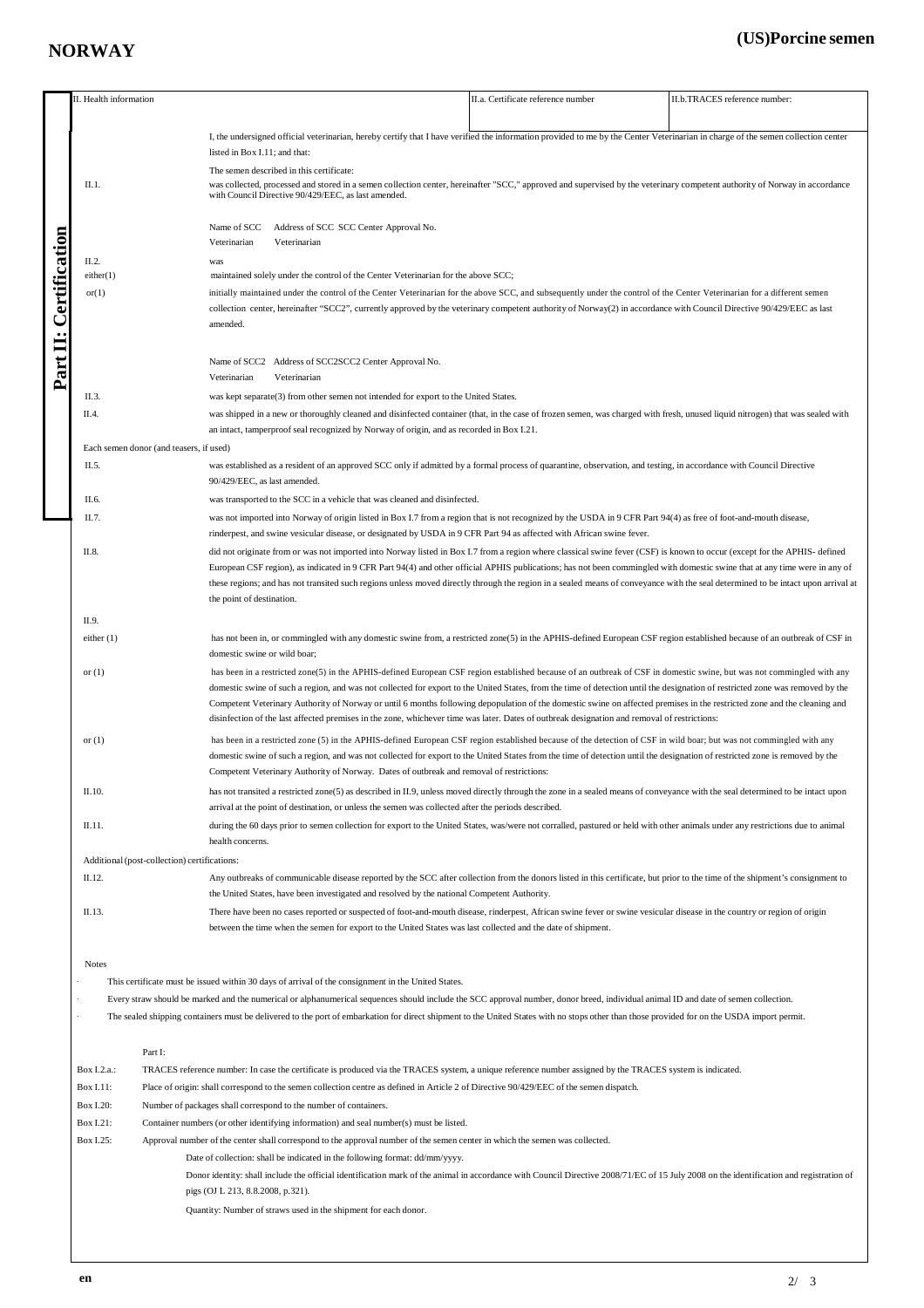## **NORWAY**

## **(US)Porcine semen**

|                                                                                                                                                                                             | I. Health information                                                                                                                                                                                                                                                                                                                                    |                                                                                                                                                                                                                                                                                                                                                        | II.a. Certificate reference number                                                                                                                                                                                                                                                                                                                               | II.b.TRACES reference number:                                                                                                                                       |  |  |                                              |  |
|---------------------------------------------------------------------------------------------------------------------------------------------------------------------------------------------|----------------------------------------------------------------------------------------------------------------------------------------------------------------------------------------------------------------------------------------------------------------------------------------------------------------------------------------------------------|--------------------------------------------------------------------------------------------------------------------------------------------------------------------------------------------------------------------------------------------------------------------------------------------------------------------------------------------------------|------------------------------------------------------------------------------------------------------------------------------------------------------------------------------------------------------------------------------------------------------------------------------------------------------------------------------------------------------------------|---------------------------------------------------------------------------------------------------------------------------------------------------------------------|--|--|----------------------------------------------|--|
|                                                                                                                                                                                             |                                                                                                                                                                                                                                                                                                                                                          |                                                                                                                                                                                                                                                                                                                                                        |                                                                                                                                                                                                                                                                                                                                                                  |                                                                                                                                                                     |  |  |                                              |  |
|                                                                                                                                                                                             |                                                                                                                                                                                                                                                                                                                                                          | I, the undersigned official veterinarian, hereby certify that I have verified the information provided to me by the Center Veterinarian in charge of the semen collection center                                                                                                                                                                       |                                                                                                                                                                                                                                                                                                                                                                  |                                                                                                                                                                     |  |  |                                              |  |
|                                                                                                                                                                                             |                                                                                                                                                                                                                                                                                                                                                          | listed in Box I.11; and that:<br>The semen described in this certificate:                                                                                                                                                                                                                                                                              |                                                                                                                                                                                                                                                                                                                                                                  |                                                                                                                                                                     |  |  |                                              |  |
|                                                                                                                                                                                             | II.1.                                                                                                                                                                                                                                                                                                                                                    | was collected, processed and stored in a semen collection center, hereinafter "SCC," approved and supervised by the veterinary competent authority of Norway in accordance<br>with Council Directive 90/429/EEC, as last amended.                                                                                                                      |                                                                                                                                                                                                                                                                                                                                                                  |                                                                                                                                                                     |  |  |                                              |  |
| <b><i>Certification</i></b>                                                                                                                                                                 |                                                                                                                                                                                                                                                                                                                                                          | Name of SCC<br>Address of SCC SCC Center Approval No.<br>Veterinarian<br>Veterinarian                                                                                                                                                                                                                                                                  |                                                                                                                                                                                                                                                                                                                                                                  |                                                                                                                                                                     |  |  |                                              |  |
|                                                                                                                                                                                             | II.2.                                                                                                                                                                                                                                                                                                                                                    | was                                                                                                                                                                                                                                                                                                                                                    |                                                                                                                                                                                                                                                                                                                                                                  |                                                                                                                                                                     |  |  |                                              |  |
|                                                                                                                                                                                             | either(1)<br>or(1)                                                                                                                                                                                                                                                                                                                                       | maintained solely under the control of the Center Veterinarian for the above SCC;<br>initially maintained under the control of the Center Veterinarian for the above SCC, and subsequently under the control of the Center Veterinarian for a different semen                                                                                          |                                                                                                                                                                                                                                                                                                                                                                  |                                                                                                                                                                     |  |  |                                              |  |
| $\ddot{\phantom{0}}$                                                                                                                                                                        |                                                                                                                                                                                                                                                                                                                                                          | collection center, hereinafter "SCC2", currently approved by the veterinary competent authority of Norway(2) in accordance with Council Directive 90/429/EEC as last                                                                                                                                                                                   |                                                                                                                                                                                                                                                                                                                                                                  |                                                                                                                                                                     |  |  |                                              |  |
|                                                                                                                                                                                             |                                                                                                                                                                                                                                                                                                                                                          |                                                                                                                                                                                                                                                                                                                                                        |                                                                                                                                                                                                                                                                                                                                                                  |                                                                                                                                                                     |  |  |                                              |  |
| Part II                                                                                                                                                                                     | Name of SCC2 Address of SCC2SCC2 Center Approval No.                                                                                                                                                                                                                                                                                                     |                                                                                                                                                                                                                                                                                                                                                        |                                                                                                                                                                                                                                                                                                                                                                  |                                                                                                                                                                     |  |  |                                              |  |
|                                                                                                                                                                                             | Veterinarian<br>Veterinarian<br>II.3.<br>was kept separate(3) from other semen not intended for export to the United States.                                                                                                                                                                                                                             |                                                                                                                                                                                                                                                                                                                                                        |                                                                                                                                                                                                                                                                                                                                                                  |                                                                                                                                                                     |  |  |                                              |  |
|                                                                                                                                                                                             | II.4.<br>was shipped in a new or thoroughly cleaned and disinfected container (that, in the case of frozen semen, was charged with fresh, unused liquid nitrogen) that was sealed with                                                                                                                                                                   |                                                                                                                                                                                                                                                                                                                                                        |                                                                                                                                                                                                                                                                                                                                                                  |                                                                                                                                                                     |  |  |                                              |  |
|                                                                                                                                                                                             | an intact, tamperproof seal recognized by Norway of origin, and as recorded in Box I.21.                                                                                                                                                                                                                                                                 |                                                                                                                                                                                                                                                                                                                                                        |                                                                                                                                                                                                                                                                                                                                                                  |                                                                                                                                                                     |  |  |                                              |  |
|                                                                                                                                                                                             | Each semen donor (and teasers, if used)                                                                                                                                                                                                                                                                                                                  |                                                                                                                                                                                                                                                                                                                                                        |                                                                                                                                                                                                                                                                                                                                                                  |                                                                                                                                                                     |  |  |                                              |  |
|                                                                                                                                                                                             | II.5.                                                                                                                                                                                                                                                                                                                                                    |                                                                                                                                                                                                                                                                                                                                                        |                                                                                                                                                                                                                                                                                                                                                                  | was established as a resident of an approved SCC only if admitted by a formal process of quarantine, observation, and testing, in accordance with Council Directive |  |  |                                              |  |
|                                                                                                                                                                                             |                                                                                                                                                                                                                                                                                                                                                          | 90/429/EEC, as last amended.                                                                                                                                                                                                                                                                                                                           |                                                                                                                                                                                                                                                                                                                                                                  |                                                                                                                                                                     |  |  |                                              |  |
|                                                                                                                                                                                             | II.6.                                                                                                                                                                                                                                                                                                                                                    | was transported to the SCC in a vehicle that was cleaned and disinfected.                                                                                                                                                                                                                                                                              |                                                                                                                                                                                                                                                                                                                                                                  |                                                                                                                                                                     |  |  |                                              |  |
|                                                                                                                                                                                             | II.7.<br>was not imported into Norway of origin listed in Box I.7 from a region that is not recognized by the USDA in 9 CFR Part 94(4) as free of foot-and-mouth disease,                                                                                                                                                                                |                                                                                                                                                                                                                                                                                                                                                        |                                                                                                                                                                                                                                                                                                                                                                  |                                                                                                                                                                     |  |  |                                              |  |
| rinderpest, and swine vesicular disease, or designated by USDA in 9 CFR Part 94 as affected with African swine fever.<br>II.8.                                                              |                                                                                                                                                                                                                                                                                                                                                          |                                                                                                                                                                                                                                                                                                                                                        |                                                                                                                                                                                                                                                                                                                                                                  |                                                                                                                                                                     |  |  |                                              |  |
|                                                                                                                                                                                             |                                                                                                                                                                                                                                                                                                                                                          | did not originate from or was not imported into Norway listed in Box I.7 from a region where classical swine fever (CSF) is known to occur (except for the APHIS- defined<br>European CSF region), as indicated in 9 CFR Part 94(4) and other official APHIS publications; has not been commingled with domestic swine that at any time were in any of |                                                                                                                                                                                                                                                                                                                                                                  |                                                                                                                                                                     |  |  |                                              |  |
|                                                                                                                                                                                             |                                                                                                                                                                                                                                                                                                                                                          | these regions; and has not transited such regions unless moved directly through the region in a sealed means of conveyance with the seal determined to be intact upon arrival at                                                                                                                                                                       |                                                                                                                                                                                                                                                                                                                                                                  |                                                                                                                                                                     |  |  |                                              |  |
|                                                                                                                                                                                             |                                                                                                                                                                                                                                                                                                                                                          | the point of destination.                                                                                                                                                                                                                                                                                                                              |                                                                                                                                                                                                                                                                                                                                                                  |                                                                                                                                                                     |  |  |                                              |  |
|                                                                                                                                                                                             | II.9.                                                                                                                                                                                                                                                                                                                                                    |                                                                                                                                                                                                                                                                                                                                                        |                                                                                                                                                                                                                                                                                                                                                                  |                                                                                                                                                                     |  |  |                                              |  |
|                                                                                                                                                                                             | either $(1)$                                                                                                                                                                                                                                                                                                                                             | has not been in, or commingled with any domestic swine from, a restricted zone(5) in the APHIS-defined European CSF region established because of an outbreak of CSF in<br>domestic swine or wild boar;                                                                                                                                                |                                                                                                                                                                                                                                                                                                                                                                  |                                                                                                                                                                     |  |  |                                              |  |
|                                                                                                                                                                                             | or $(1)$                                                                                                                                                                                                                                                                                                                                                 |                                                                                                                                                                                                                                                                                                                                                        |                                                                                                                                                                                                                                                                                                                                                                  |                                                                                                                                                                     |  |  |                                              |  |
|                                                                                                                                                                                             | has been in a restricted zone(5) in the APHIS-defined European CSF region established because of an outbreak of CSF in domestic swine, but was not commingled with any<br>domestic swine of such a region, and was not collected for export to the United States, from the time of detection until the designation of restricted zone was removed by the |                                                                                                                                                                                                                                                                                                                                                        |                                                                                                                                                                                                                                                                                                                                                                  |                                                                                                                                                                     |  |  |                                              |  |
|                                                                                                                                                                                             |                                                                                                                                                                                                                                                                                                                                                          |                                                                                                                                                                                                                                                                                                                                                        | Competent Veterinary Authority of Norway or until 6 months following depopulation of the domestic swine on affected premises in the restricted zone and the cleaning and<br>disinfection of the last affected premises in the zone, whichever time was later. Dates of outbreak designation and removal of restrictions:                                         |                                                                                                                                                                     |  |  |                                              |  |
|                                                                                                                                                                                             | or $(1)$                                                                                                                                                                                                                                                                                                                                                 | has been in a restricted zone (5) in the APHIS-defined European CSF region established because of the detection of CSF in wild boar; but was not commingled with any<br>domestic swine of such a region, and was not collected for export to the United States from the time of detection until the designation of restricted zone is removed by the   |                                                                                                                                                                                                                                                                                                                                                                  |                                                                                                                                                                     |  |  |                                              |  |
| Competent Veterinary Authority of Norway. Dates of outbreak and removal of restrictions:                                                                                                    |                                                                                                                                                                                                                                                                                                                                                          |                                                                                                                                                                                                                                                                                                                                                        |                                                                                                                                                                                                                                                                                                                                                                  |                                                                                                                                                                     |  |  |                                              |  |
| II.10.<br>arrival at the point of destination, or unless the semen was collected after the periods described.<br>II.11.<br>health concerns.                                                 |                                                                                                                                                                                                                                                                                                                                                          |                                                                                                                                                                                                                                                                                                                                                        | has not transited a restricted zone(5) as described in II.9, unless moved directly through the zone in a sealed means of conveyance with the seal determined to be intact upon<br>during the 60 days prior to semen collection for export to the United States, was/were not corralled, pastured or held with other animals under any restrictions due to animal |                                                                                                                                                                     |  |  |                                              |  |
|                                                                                                                                                                                             |                                                                                                                                                                                                                                                                                                                                                          |                                                                                                                                                                                                                                                                                                                                                        |                                                                                                                                                                                                                                                                                                                                                                  |                                                                                                                                                                     |  |  | Additional (post-collection) certifications: |  |
|                                                                                                                                                                                             | II.12.                                                                                                                                                                                                                                                                                                                                                   | Any outbreaks of communicable disease reported by the SCC after collection from the donors listed in this certificate, but prior to the time of the shipment's consignment to                                                                                                                                                                          |                                                                                                                                                                                                                                                                                                                                                                  |                                                                                                                                                                     |  |  |                                              |  |
|                                                                                                                                                                                             |                                                                                                                                                                                                                                                                                                                                                          | the United States, have been investigated and resolved by the national Competent Authority.                                                                                                                                                                                                                                                            |                                                                                                                                                                                                                                                                                                                                                                  |                                                                                                                                                                     |  |  |                                              |  |
|                                                                                                                                                                                             | II.13.                                                                                                                                                                                                                                                                                                                                                   | There have been no cases reported or suspected of foot-and-mouth disease, rinderpest, African swine fever or swine vesicular disease in the country or region of origin<br>between the time when the semen for export to the United States was last collected and the date of shipment.                                                                |                                                                                                                                                                                                                                                                                                                                                                  |                                                                                                                                                                     |  |  |                                              |  |
|                                                                                                                                                                                             | <b>Notes</b>                                                                                                                                                                                                                                                                                                                                             |                                                                                                                                                                                                                                                                                                                                                        |                                                                                                                                                                                                                                                                                                                                                                  |                                                                                                                                                                     |  |  |                                              |  |
|                                                                                                                                                                                             |                                                                                                                                                                                                                                                                                                                                                          | This certificate must be issued within 30 days of arrival of the consignment in the United States.                                                                                                                                                                                                                                                     |                                                                                                                                                                                                                                                                                                                                                                  |                                                                                                                                                                     |  |  |                                              |  |
|                                                                                                                                                                                             | Every straw should be marked and the numerical or alphanumerical sequences should include the SCC approval number, donor breed, individual animal ID and date of semen collection.                                                                                                                                                                       |                                                                                                                                                                                                                                                                                                                                                        |                                                                                                                                                                                                                                                                                                                                                                  |                                                                                                                                                                     |  |  |                                              |  |
| The sealed shipping containers must be delivered to the port of embarkation for direct shipment to the United States with no stops other than those provided for on the USDA import permit. |                                                                                                                                                                                                                                                                                                                                                          |                                                                                                                                                                                                                                                                                                                                                        |                                                                                                                                                                                                                                                                                                                                                                  |                                                                                                                                                                     |  |  |                                              |  |
| Part I:                                                                                                                                                                                     |                                                                                                                                                                                                                                                                                                                                                          |                                                                                                                                                                                                                                                                                                                                                        |                                                                                                                                                                                                                                                                                                                                                                  |                                                                                                                                                                     |  |  |                                              |  |
|                                                                                                                                                                                             | Box I.2.a.:                                                                                                                                                                                                                                                                                                                                              | TRACES reference number: In case the certificate is produced via the TRACES system, a unique reference number assigned by the TRACES system is indicated.                                                                                                                                                                                              |                                                                                                                                                                                                                                                                                                                                                                  |                                                                                                                                                                     |  |  |                                              |  |
|                                                                                                                                                                                             | Box I.11:                                                                                                                                                                                                                                                                                                                                                | Place of origin: shall correspond to the semen collection centre as defined in Article 2 of Directive 90/429/EEC of the semen dispatch.                                                                                                                                                                                                                |                                                                                                                                                                                                                                                                                                                                                                  |                                                                                                                                                                     |  |  |                                              |  |
|                                                                                                                                                                                             | Box I.20:                                                                                                                                                                                                                                                                                                                                                | Number of packages shall correspond to the number of containers.<br>Container numbers (or other identifying information) and seal number(s) must be listed.                                                                                                                                                                                            |                                                                                                                                                                                                                                                                                                                                                                  |                                                                                                                                                                     |  |  |                                              |  |
|                                                                                                                                                                                             | Box I.21:<br>Box I.25:                                                                                                                                                                                                                                                                                                                                   |                                                                                                                                                                                                                                                                                                                                                        |                                                                                                                                                                                                                                                                                                                                                                  |                                                                                                                                                                     |  |  |                                              |  |
|                                                                                                                                                                                             |                                                                                                                                                                                                                                                                                                                                                          | Approval number of the center shall correspond to the approval number of the semen center in which the semen was collected.<br>Date of collection: shall be indicated in the following format: dd/mm/yyyy.                                                                                                                                             |                                                                                                                                                                                                                                                                                                                                                                  |                                                                                                                                                                     |  |  |                                              |  |
|                                                                                                                                                                                             |                                                                                                                                                                                                                                                                                                                                                          | Donor identity: shall include the official identification mark of the animal in accordance with Council Directive 2008/71/EC of 15 July 2008 on the identification and registration of                                                                                                                                                                 |                                                                                                                                                                                                                                                                                                                                                                  |                                                                                                                                                                     |  |  |                                              |  |
|                                                                                                                                                                                             |                                                                                                                                                                                                                                                                                                                                                          | pigs (OJ L 213, 8.8.2008, p.321).                                                                                                                                                                                                                                                                                                                      |                                                                                                                                                                                                                                                                                                                                                                  |                                                                                                                                                                     |  |  |                                              |  |
|                                                                                                                                                                                             |                                                                                                                                                                                                                                                                                                                                                          | Quantity: Number of straws used in the shipment for each donor.                                                                                                                                                                                                                                                                                        |                                                                                                                                                                                                                                                                                                                                                                  |                                                                                                                                                                     |  |  |                                              |  |
|                                                                                                                                                                                             |                                                                                                                                                                                                                                                                                                                                                          |                                                                                                                                                                                                                                                                                                                                                        |                                                                                                                                                                                                                                                                                                                                                                  |                                                                                                                                                                     |  |  |                                              |  |
|                                                                                                                                                                                             |                                                                                                                                                                                                                                                                                                                                                          |                                                                                                                                                                                                                                                                                                                                                        |                                                                                                                                                                                                                                                                                                                                                                  |                                                                                                                                                                     |  |  |                                              |  |